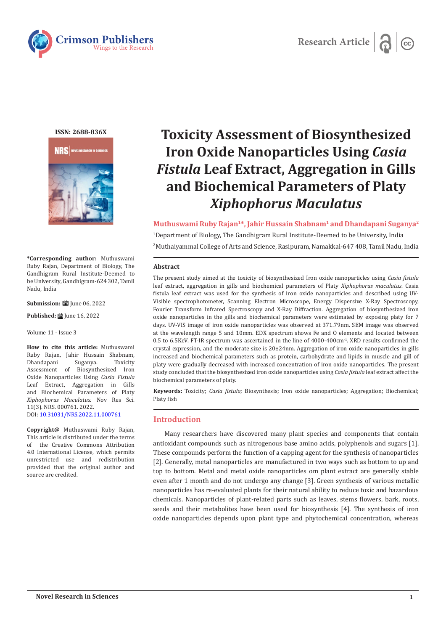



**ISSN: 2688-836X**



**\*Corresponding author:** Muthuswami Ruby Rajan, Department of Biology, The Gandhigram Rural Institute-Deemed to be University, Gandhigram-624 302, Tamil Nadu, India

**Submission:**  $\mathbf{ii}$  June 06, 2022

**Published: 自 June 16, 2022** 

Volume 11 - Issue 3

**How to cite this article:** Muthuswami Ruby Rajan, Jahir Hussain Shabnam, Dhandapani Suganya. Assessment of Biosynthesized Iron Oxide Nanoparticles Using *Casia Fistula*  Leaf Extract, Aggregation in Gills and Biochemical Parameters of Platy *Xiphophorus Maculatus*. Nov Res Sci. 11(3). NRS. 000761. 2022. DOI: [10.31031/NRS.2022.11.000761](http://dx.doi.org/10.31031/NRS.2022.11.000761)

**Copyright@** Muthuswami Ruby Rajan, This article is distributed under the terms of the Creative Commons Attribution 4.0 International License, which permits unrestricted use and redistribution provided that the original author and source are credited.

# **Toxicity Assessment of Biosynthesized Iron Oxide Nanoparticles Using** *Casia Fistula* **Leaf Extract, Aggregation in Gills and Biochemical Parameters of Platy**  *Xiphophorus Maculatus*

**Muthuswami Ruby Rajan1\*, Jahir Hussain Shabnam1 and Dhandapani Suganya2** 1 Department of Biology, The Gandhigram Rural Institute-Deemed to be University, India 2 Muthaiyammal College of Arts and Science, Rasipuram, Namakkal-647 408, Tamil Nadu, India

#### **Abstract**

The present study aimed at the toxicity of biosynthesized Iron oxide nanoparticles using *Casia fistula*  leaf extract, aggregation in gills and biochemical parameters of Platy *Xiphophorus maculatus*. Casia fistula leaf extract was used for the synthesis of iron oxide nanoparticles and described using UV-Visible spectrophotometer, Scanning Electron Microscope, Energy Dispersive X-Ray Spectroscopy, Fourier Transform Infrared Spectroscopy and X-Ray Diffraction. Aggregation of biosynthesized iron oxide nanoparticles in the gills and biochemical parameters were estimated by exposing platy for 7 days. UV-VIS image of iron oxide nanoparticles was observed at 371.79nm. SEM image was observed at the wavelength range 5 and 10mm. EDX spectrum shows Fe and O elements and located between 0.5 to 6.5KeV. FT-IR spectrum was ascertained in the line of 4000-400cm-1. XRD results confirmed the crystal expression, and the moderate size is 20±24nm. Aggregation of iron oxide nanoparticles in gills increased and biochemical parameters such as protein, carbohydrate and lipids in muscle and gill of platy were gradually decreased with increased concentration of iron oxide nanoparticles. The present study concluded that the biosynthesized iron oxide nanoparticles using *Casia fistula* leaf extract affect the biochemical parameters of platy.

**Keywords:** Toxicity; *Casia fistula*; Biosynthesis; Iron oxide nanoparticles; Aggregation; Biochemical; Platy fish

# **Introduction**

Many researchers have discovered many plant species and components that contain antioxidant compounds such as nitrogenous base amino acids, polyphenols and sugars [1]. These compounds perform the function of a capping agent for the synthesis of nanoparticles [2]. Generally, metal nanoparticles are manufactured in two ways such as bottom to up and top to bottom. Metal and metal oxide nanoparticles om plant extract are generally stable even after 1 month and do not undergo any change [3]. Green synthesis of various metallic nanoparticles has re-evaluated plants for their natural ability to reduce toxic and hazardous chemicals. Nanoparticles of plant-related parts such as leaves, stems flowers, bark, roots, seeds and their metabolites have been used for biosynthesis [4]. The synthesis of iron oxide nanoparticles depends upon plant type and phytochemical concentration, whereas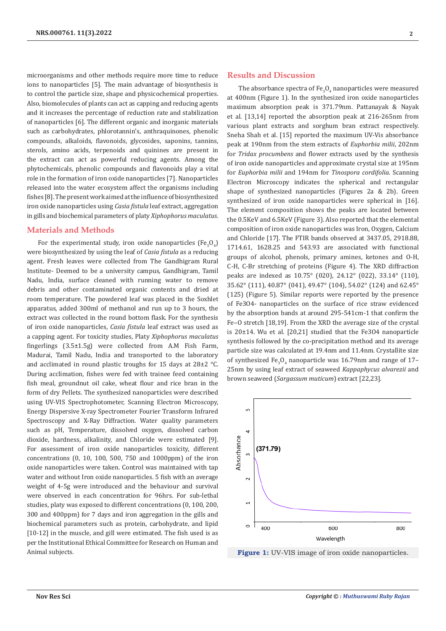microorganisms and other methods require more time to reduce ions to nanoparticles [5]. The main advantage of biosynthesis is to control the particle size, shape and physicochemical properties. Also, biomolecules of plants can act as capping and reducing agents and it increases the percentage of reduction rate and stabilization of nanoparticles [6]. The different organic and inorganic materials such as carbohydrates, phlorotannin's, anthraquinones, phenolic compounds, alkaloids, flavonoids, glycosides, saponins, tannins, sterols, amino acids, terpenoids and quinines are present in the extract can act as powerful reducing agents. Among the phytochemicals, phenolic compounds and flavonoids play a vital role in the formation of iron oxide nanoparticles [7]. Nanoparticles released into the water ecosystem affect the organisms including fishes [8]. The present work aimed at the influence of biosynthesized iron oxide nanoparticles using *Casia fistula* leaf extract, aggregation in gills and biochemical parameters of platy *Xiphophorus maculatus*.

# **Materials and Methods**

For the experimental study, iron oxide nanoparticles (Fe<sub>3</sub>O<sub>4</sub>) were biosynthesized by using the leaf of *Casia fistula* as a reducing agent. Fresh leaves were collected from The Gandhigram Rural Institute- Deemed to be a university campus, Gandhigram, Tamil Nadu, India, surface cleaned with running water to remove debris and other contaminated organic contents and dried at room temperature. The powdered leaf was placed in the Soxhlet apparatus, added 300ml of methanol and run up to 3 hours, the extract was collected in the round bottom flask. For the synthesis of iron oxide nanoparticles, *Casia fistula* leaf extract was used as a capping agent. For toxicity studies, Platy *Xiphophorus maculatus* fingerlings (3.5±1.5g) were collected from A.M Fish Farm, Madurai, Tamil Nadu, India and transported to the laboratory and acclimated in round plastic troughs for 15 days at 28±2 °C. During acclimation, fishes were fed with trainee feed containing fish meal, groundnut oil cake, wheat flour and rice bran in the form of dry Pellets. The synthesized nanoparticles were described using UV-VIS Spectrophotometer, Scanning Electron Microscopy, Energy Dispersive X-ray Spectrometer Fourier Transform Infrared Spectroscopy and X-Ray Diffraction. Water quality parameters such as pH, Temperature, dissolved oxygen, dissolved carbon dioxide, hardness, alkalinity, and Chloride were estimated [9]. For assessment of iron oxide nanoparticles toxicity, different concentrations (0, 10, 100, 500, 750 and 1000ppm) of the iron oxide nanoparticles were taken. Control was maintained with tap water and without Iron oxide nanoparticles. 5 fish with an average weight of 4-5g were introduced and the behaviour and survival were observed in each concentration for 96hrs. For sub-lethal studies, platy was exposed to different concentrations (0, 100, 200, 300 and 400ppm) for 7 days and iron aggregation in the gills and biochemical parameters such as protein, carbohydrate, and lipid [10-12] in the muscle, and gill were estimated. The fish used is as per the Institutional Ethical Committee for Research on Human and Animal subjects.

#### **Results and Discussion**

The absorbance spectra of  $Fe_{3}O_{4}$  nanoparticles were measured at 400nm (Figure 1). In the synthesized iron oxide nanoparticles maximum absorption peak is 371.79nm. Pattanayak & Nayak et al. [13,14] reported the absorption peak at 216-265nm from various plant extracts and sorghum bran extract respectively. Sneha Shah et al. [15] reported the maximum UV-Vis absorbance peak at 190nm from the stem extracts of *Euphorbia milii*, 202nm for *Tridax procumbens* and flower extracts used by the synthesis of iron oxide nanoparticles and approximate crystal size at 195nm for *Euphorbia milii* and 194nm for *Tinospora cordifolia*. Scanning Electron Microscopy indicates the spherical and rectangular shape of synthesized nanoparticles (Figures 2a & 2b). Green synthesized of iron oxide nanoparticles were spherical in [16]. The element composition shows the peaks are located between the 0.5KeV and 6.5KeV (Figure 3). Also reported that the elemental composition of iron oxide nanoparticles was Iron, Oxygen, Calcium and Chloride [17]. The FTIR bands observed at 3437.05, 2918.88, 1714.61, 1628.25 and 543.93 are associated with functional groups of alcohol, phenols, primary amines, ketones and O-H, C-H, C-Br stretching of proteins (Figure 4). The XRD diffraction peaks are indexed as 10.75° (020), 24.12° (022), 33.14° (110), 35.62° (111), 40.87° (041), 49.47° (104), 54.02° (124) and 62.45° (125) (Figure 5). Similar reports were reported by the presence of Fe3O4- nanoparticles on the surface of rice straw evidenced by the absorption bands at around 295-541cm-1 that confirm the Fe-O stretch [18,19]. From the XRD the average size of the crystal is 20±14. Wu et al. [20,21] studied that the Fe3O4 nanoparticle synthesis followed by the co-precipitation method and its average particle size was calculated at 19.4nm and 11.4nm. Crystallite size of synthesized Fe<sub>3</sub>O<sub>4</sub> nanoparticle was 16.79nm and range of 17– 25nm by using leaf extract of seaweed *Kappaphycus alvarezii* and brown seaweed (*Sargassum muticum*) extract [22,23].



**Figure 1:** UV-VIS image of iron oxide nanoparticles.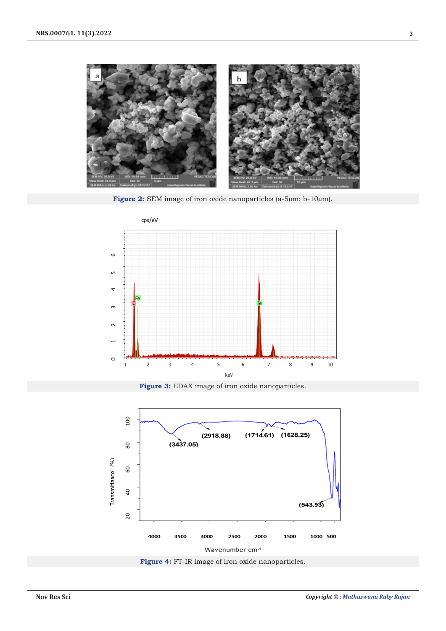

**Figure 2:** SEM image of iron oxide nanoparticles (a-5µm; b-10µm).



**Figure 3:** EDAX image of iron oxide nanoparticles.



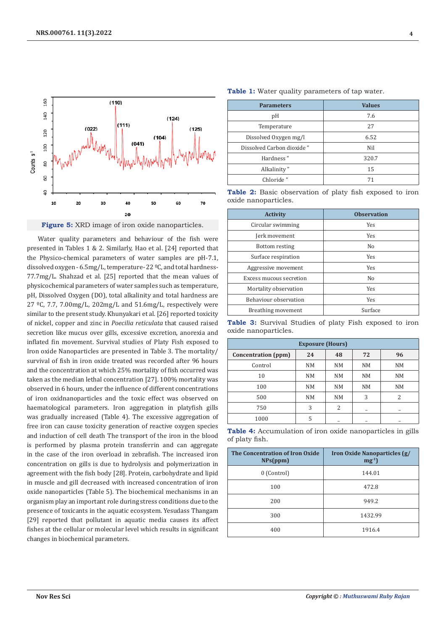

Figure 5: XRD image of iron oxide nanoparticles.

Water quality parameters and behaviour of the fish were presented in Tables 1 & 2. Similarly, Hao et al. [24] reported that the Physico-chemical parameters of water samples are pH-7.1, dissolved oxygen - 6.5mg/L, temperature- 22 ºC, and total hardness-77.7mg/L. Shahzad et al. [25] reported that the mean values of physicochemical parameters of water samples such as temperature, pH, Dissolved Oxygen (DO), total alkalinity and total hardness are 27  $°C$ , 7.7, 7.00mg/L, 202mg/L and 51.6mg/L, respectively were similar to the present study. Khunyakari et al. [26] reported toxicity of nickel, copper and zinc in *Poecilia reticulata* that caused raised secretion like mucus over gills, excessive excretion, anorexia and inflated fin movement. Survival studies of Platy Fish exposed to Iron oxide Nanoparticles are presented in Table 3. The mortality/ survival of fish in iron oxide treated was recorded after 96 hours and the concentration at which 25% mortality of fish occurred was taken as the median lethal concentration [27]. 100% mortality was observed in 6 hours, under the influence of different concentrations of iron oxidnanoparticles and the toxic effect was observed on haematological parameters. Iron aggregation in platyfish gills was gradually increased (Table 4). The excessive aggregation of free iron can cause toxicity generation of reactive oxygen species and induction of cell death The transport of the iron in the blood is performed by plasma protein transferrin and can aggregate in the case of the iron overload in zebrafish. The increased iron concentration on gills is due to hydrolysis and polymerization in agreement with the fish body [28]. Protein, carbohydrate and lipid in muscle and gill decreased with increased concentration of iron oxide nanoparticles (Table 5). The biochemical mechanisms in an organism play an important role during stress conditions due to the presence of toxicants in the aquatic ecosystem. Yesudass Thangam [29] reported that pollutant in aquatic media causes its affect fishes at the cellular or molecular level which results in significant changes in biochemical parameters.

|  |  |  |  | Table 1: Water quality parameters of tap water. |  |  |  |
|--|--|--|--|-------------------------------------------------|--|--|--|
|--|--|--|--|-------------------------------------------------|--|--|--|

| <b>Parameters</b>         | <b>Values</b> |  |  |
|---------------------------|---------------|--|--|
| pH                        | 7.6           |  |  |
| Temperature               | 27            |  |  |
| Dissolved Oxygen mg/l     | 6.52          |  |  |
| Dissolved Carbon dioxide" | Nil           |  |  |
| Hardness"                 | 320.7         |  |  |
| Alkalinity"               | 15            |  |  |
| Chloride"                 | 71            |  |  |

|  |                      | Table 2: Basic observation of platy fish exposed to iron |  |  |  |
|--|----------------------|----------------------------------------------------------|--|--|--|
|  | oxide nanoparticles. |                                                          |  |  |  |

| <b>Activity</b>         | <b>Observation</b> |  |  |
|-------------------------|--------------------|--|--|
| Circular swimming       | <b>Yes</b>         |  |  |
| Jerk movement           | <b>Yes</b>         |  |  |
| Bottom resting          | No                 |  |  |
| Surface respiration     | Yes                |  |  |
| Aggressive movement     | <b>Yes</b>         |  |  |
| Excess mucous secretion | No                 |  |  |
| Mortality observation   | Yes                |  |  |
| Behaviour observation   | <b>Yes</b>         |  |  |
| Breathing movement      | Surface            |  |  |

**Table 3:** Survival Studies of platy Fish exposed to iron oxide nanoparticles.

| <b>Exposure (Hours)</b> |    |    |                |                          |  |  |  |
|-------------------------|----|----|----------------|--------------------------|--|--|--|
| Concentration (ppm)     | 24 | 48 | 72             | 96                       |  |  |  |
| Control                 | NM | NM | N <sub>M</sub> | <b>NM</b>                |  |  |  |
| 10                      | NM | NM | N <sub>M</sub> | <b>NM</b>                |  |  |  |
| 100                     | NM | NM | N <sub>M</sub> | NM                       |  |  |  |
| 500                     | NM | NM | 3              | $\overline{\mathcal{L}}$ |  |  |  |
| 750                     | 3  | 2  | -              | -                        |  |  |  |
| 1000                    | 5  |    |                |                          |  |  |  |

**Table 4:** Accumulation of iron oxide nanoparticles in gills of platy fish.

| The Concentration of Iron Oxide<br>NPs(ppm) | <b>Iron Oxide Nanoparticles (g/</b><br>$mg^{-1}$ |
|---------------------------------------------|--------------------------------------------------|
| 0 (Control)                                 | 144.01                                           |
| 100                                         | 472.8                                            |
| 200                                         | 949.2                                            |
| 300                                         | 1432.99                                          |
| 400                                         | 1916.4                                           |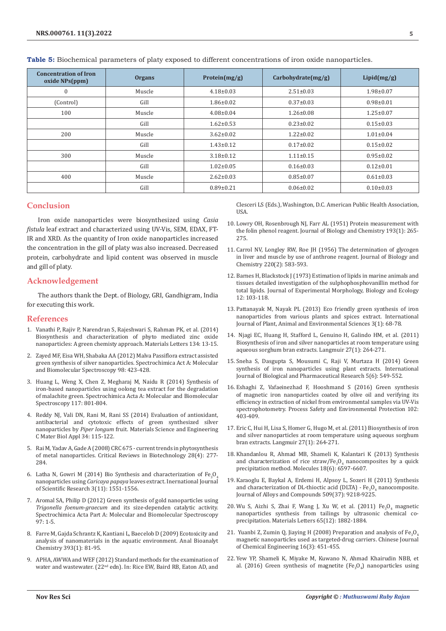| <b>Concentration of Iron</b><br>oxide NPs(ppm) | <b>Organs</b> | Protein $(mg/g)$ | Carbohydrate(mg/g) | Lipid(mg/g)     |
|------------------------------------------------|---------------|------------------|--------------------|-----------------|
| $\mathbf{0}$                                   | Muscle        | $4.18 \pm 0.03$  | $2.51 \pm 0.03$    | $1.98 \pm 0.07$ |
| (Control)                                      | Gill          | $1.86 \pm 0.02$  | $0.37 \pm 0.03$    | $0.98 + 0.01$   |
| 100                                            | Muscle        | $4.08 \pm 0.04$  | $1.26 \pm 0.08$    | $1.25 \pm 0.07$ |
|                                                | Gill          | $1.62 \pm 0.53$  | $0.23 \pm 0.02$    | $0.15 \pm 0.03$ |
| 200                                            | Muscle        | $3.62 \pm 0.02$  | $1.22 \pm 0.02$    | $1.01 \pm 0.04$ |
|                                                | Gill          | $1.43 \pm 0.12$  | $0.17 \pm 0.02$    | $0.15 \pm 0.02$ |
| 300                                            | Muscle        | $3.18 \pm 0.12$  | $1.11 \pm 0.15$    | $0.95 \pm 0.02$ |
|                                                | Gill          | $1.02 \pm 0.05$  | $0.16 \pm 0.03$    | $0.12 \pm 0.01$ |
| 400                                            | Muscle        | $2.62 \pm 0.03$  | $0.85 \pm 0.07$    | $0.61 \pm 0.03$ |
|                                                | Gill          | $0.89 \pm 0.21$  | $0.06 \pm 0.02$    | $0.10\pm0.03$   |

**Table 5:** Biochemical parameters of platy exposed to different concentrations of iron oxide nanoparticles.

# **Conclusion**

Iron oxide nanoparticles were biosynthesized using *Casia fistula* leaf extract and characterized using UV-Vis, SEM, EDAX, FT-IR and XRD. As the quantity of Iron oxide nanoparticles increased the concentration in the gill of platy was also increased. Decreased protein, carbohydrate and lipid content was observed in muscle and gill of platy.

# **Acknowledgement**

The authors thank the Dept. of Biology, GRI, Gandhigram, India for executing this work.

# **References**

- 1. [Vanathi P, Rajiv P, Narendran S, Rajeshwari S, Rahman PK, et al. \(2014\)](https://www.sciencedirect.com/science/article/abs/pii/S0167577X14012798)  [Biosynthesis and characterization of phyto mediated zinc oxide](https://www.sciencedirect.com/science/article/abs/pii/S0167577X14012798)  [nanoparticles: A green chemisty approach. Materials Letters 134: 13-15.](https://www.sciencedirect.com/science/article/abs/pii/S0167577X14012798)
- 2. [Zayed MF, Eisa WH, Shabaka AA \(2012\) Malva Passiflora extract assisted](https://ui.adsabs.harvard.edu/abs/2012AcSpA..98..423Z/abstract)  [green synthesis of silver nanoparticles. Spectrochimica Act A: Molecular](https://ui.adsabs.harvard.edu/abs/2012AcSpA..98..423Z/abstract)  [and Biomolecular Spectroscopy 98: 423-428.](https://ui.adsabs.harvard.edu/abs/2012AcSpA..98..423Z/abstract)
- 3. [Huang L, Weng X, Chen Z, Megharaj M, Naidu R \(2014\) Synthesis of](https://pubmed.ncbi.nlm.nih.gov/24094918/)  [iron-based nanoparticles using oolong tea extract for the degradation](https://pubmed.ncbi.nlm.nih.gov/24094918/)  [of malachite green. Spectrochimica Acta A: Molecular and Biomolecular](https://pubmed.ncbi.nlm.nih.gov/24094918/)  [Spectroscopy 117: 801-804.](https://pubmed.ncbi.nlm.nih.gov/24094918/)
- 4. [Reddy NJ, Vali DN, Rani M, Rani SS \(2014\) Evaluation of antioxidant,](https://pubmed.ncbi.nlm.nih.gov/24268240/)  [antibacterial and cytotoxic effects of green synthesized silver](https://pubmed.ncbi.nlm.nih.gov/24268240/)  nanoparticles by *Piper longum* [fruit. Materials Science and Engineering](https://pubmed.ncbi.nlm.nih.gov/24268240/)  [C Mater Biol Appl 34: 115-122.](https://pubmed.ncbi.nlm.nih.gov/24268240/)
- 5. [Rai M, Yadav A, Gade A \(2008\) CRC 675 current trends in phytosynthesis](https://www.tandfonline.com/doi/abs/10.1080/07388550802368903)  [of metal nanoparticles. Critical Reviews in Biotechnology 28\(4\): 277-](https://www.tandfonline.com/doi/abs/10.1080/07388550802368903) [284.](https://www.tandfonline.com/doi/abs/10.1080/07388550802368903)
- 6. Latha N, Gowri M (2014) Bio Synthesis and characterization of  $Fe<sub>3</sub>O<sub>4</sub>$ nanoparticles using *Caricaya papaya* [leaves extract. Inernational Journal](https://www.ijsr.net/archive/v3i11/T0NUMTQxMjc2.pdf)  [of Scientific Research 3\(11\): 1551-1556.](https://www.ijsr.net/archive/v3i11/T0NUMTQxMjc2.pdf)
- 7. [Aromal SA, Philip D \(2012\) Green synthesis of gold nanoparticles using](https://www.sciencedirect.com/science/article/abs/pii/S1386142512005495)  *Trigonella foenum-graecum* [and its size-dependen catalytic activity.](https://www.sciencedirect.com/science/article/abs/pii/S1386142512005495)  [Spectrochimica Acta Part A: Molecular and Biomolecular Spectroscopy](https://www.sciencedirect.com/science/article/abs/pii/S1386142512005495)  [97: 1-5.](https://www.sciencedirect.com/science/article/abs/pii/S1386142512005495)
- 8. [Farre M, Gajda Schrantz K, Kantiani L, Baecelob D \(2009\) Ecotoxicity and](https://pubmed.ncbi.nlm.nih.gov/18987850/)  analysis of nanomaterials in the aquatic [environment. Anal Bioanalyt](https://pubmed.ncbi.nlm.nih.gov/18987850/)  [Chemistry 393\(1\):](https://pubmed.ncbi.nlm.nih.gov/18987850/) 81-95.
- 9. APHA, AWWA and WEF (2012) Standard methods for the examination of water and wastewater. (22<sup>nd</sup> edn). In: Rice EW, Baird RB, Eaton AD, and

Clesceri LS (Eds.), Washington, D.C. American Public Health Association, USA.

- 10. [Lowry OH, Rosenbrough NJ, Farr AL \(1951\) Protein measurement with](https://pubmed.ncbi.nlm.nih.gov/14907713/) [the folin phenol reagent. Journal of Biology and Chemistry 193\(1\): 265-](https://pubmed.ncbi.nlm.nih.gov/14907713/) [275.](https://pubmed.ncbi.nlm.nih.gov/14907713/)
- 11. [Carrol NV, Longley RW, Roe JH \(1956\) The determination of glycogen](https://pubmed.ncbi.nlm.nih.gov/13331917/) [in liver and muscle by use of anthrone reagent. Journal of Biology and](https://pubmed.ncbi.nlm.nih.gov/13331917/) [Chemistry 220\(2\): 583-593.](https://pubmed.ncbi.nlm.nih.gov/13331917/)
- 12. Barnes H, Blackstock J (1973) Estimation of lipids in marine animals and tissues detailed investigation of the sulphophosphovanillin method for total lipids. Journal of Experimental Morphology, Biology and Ecology 12: 103-118.
- 13. [Pattanayak M, Nayak PL \(2013\) Eco friendly green synthesis of iron](https://www.cabdirect.org/cabdirect/abstract/20133417166) [nanoparticles from various plants and spices extract. International](https://www.cabdirect.org/cabdirect/abstract/20133417166) [Journal of Plant, Animal and Environmental Sciences 3\(1\): 68-78.](https://www.cabdirect.org/cabdirect/abstract/20133417166)
- 14. [Njagi EC, Huang H, Stafford L, Genuino H, Galindo HM, et al. \(2011\)](https://pubmed.ncbi.nlm.nih.gov/21133391/) [Biosynthesis of iron and silver nanoparticles at room temperature using](https://pubmed.ncbi.nlm.nih.gov/21133391/) [aqueous sorghum bran extracts. Langmuir 27\(1\): 264-271.](https://pubmed.ncbi.nlm.nih.gov/21133391/)
- 15. Sneha S, Dasgupta S, Mousumi C, Raji V, Murtaza H (2014) Green synthesis of iron nanoparticles using plant extracts. International Journal of Biological and Pharmaceutical Research 5(6): 549-552.
- 16. [Eshaghi Z, Vafaeinezhad F, Hooshmand S \(2016\) Green synthesis](https://www.sciencedirect.com/science/article/abs/pii/S0957582016300283) [of magnetic iron nanoparticles coated by olive oil and verifying its](https://www.sciencedirect.com/science/article/abs/pii/S0957582016300283) [efficiency in extraction of nickel from environmental samples via UV-Vis](https://www.sciencedirect.com/science/article/abs/pii/S0957582016300283) [spectrophotometry. Process Safety and Environmental Protection 102:](https://www.sciencedirect.com/science/article/abs/pii/S0957582016300283) [403-409.](https://www.sciencedirect.com/science/article/abs/pii/S0957582016300283)
- 17. Eric C, Hui H, Lisa S, Homer G, [Hugo M, et al. \(2011\) Biosynthesis of iron](https://pubmed.ncbi.nlm.nih.gov/21133391/) and silver [nanoparticles at room temperature](https://pubmed.ncbi.nlm.nih.gov/21133391/) using aqueous sorghum bran extracts. [Langmuir 27\(1\): 264-271.](https://pubmed.ncbi.nlm.nih.gov/21133391/)
- 18. Khandanlou R, Ahmad MB, Shameli K, Kalantari K (2013) Synthesis and characterization of rice straw/Fe<sub>3</sub> $O_4$  nanocomposites by a quick precipitation method. Molecules 18(6): 6597-6607.
- 19. [Karaoglu E, Baykal A, Erdemi H, Alpsoy L, Sozeri H \(2011\) Synthesis](https://www.sciencedirect.com/science/article/abs/pii/S0925838811014496) and characterization of DL-thioctic acid (DLTA) -  $Fe_3O_4$  nanocomposite. [Journal of Alloys and Compounds 509\(37\): 9218-9225.](https://www.sciencedirect.com/science/article/abs/pii/S0925838811014496)
- 20. Wu S, Aizhi S, Zhai F, Wang J, Xu W, et al.  $(2011)$  Fe<sub>3</sub>O<sub>4</sub> magnetic [nanoparticles synthesis from tailings by ultrasonic chemical co](https://www.sciencedirect.com/science/article/abs/pii/S0167577X11003077)[precipitation. Materials Letters 65\(12\): 1882-1884.](https://www.sciencedirect.com/science/article/abs/pii/S0167577X11003077)
- 21. Yuanbi Z, Zumin Q, Jiaying H (2008) Preparation and analysis of Fe<sub>3</sub>O<sub>4</sub> [magnetic nanoparticles used as targeted-drug carriers. Chinese Journal](https://www.sciencedirect.com/science/article/abs/pii/S1004954108601044) [of Chemical Engineering 16\(3\): 451-455.](https://www.sciencedirect.com/science/article/abs/pii/S1004954108601044)
- 22. [Yew YP, Shameli K, Miyake M, Kuwano N, Ahmad Khairudin NBB, et](https://pubmed.ncbi.nlm.nih.gov/27251326/) al. (2016) Green synthesis of magnetite (Fe $_{3}O_{4}$ ) nanoparticles using